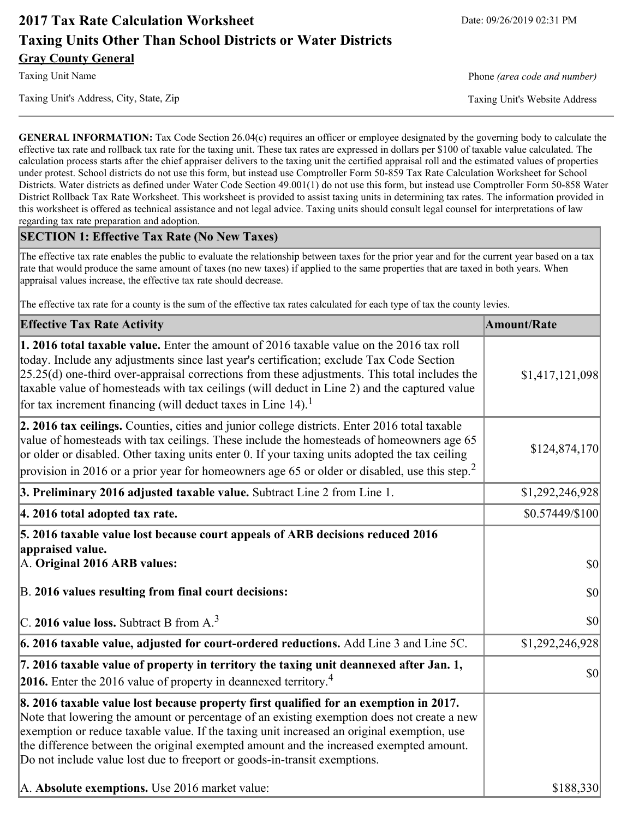# **2017 Tax Rate Calculation Worksheet** Date: 09/26/2019 02:31 PM **Taxing Units Other Than School Districts or Water Districts Gray County General**

Taxing Unit's Address, City, State, Zip Taxing Unit's Website Address

Taxing Unit Name **Phone** *(area code and number)* Phone *(area code and number)* 

**GENERAL INFORMATION:** Tax Code Section 26.04(c) requires an officer or employee designated by the governing body to calculate the effective tax rate and rollback tax rate for the taxing unit. These tax rates are expressed in dollars per \$100 of taxable value calculated. The calculation process starts after the chief appraiser delivers to the taxing unit the certified appraisal roll and the estimated values of properties under protest. School districts do not use this form, but instead use Comptroller Form 50-859 Tax Rate Calculation Worksheet for School Districts. Water districts as defined under Water Code Section 49.001(1) do not use this form, but instead use Comptroller Form 50-858 Water District Rollback Tax Rate Worksheet. This worksheet is provided to assist taxing units in determining tax rates. The information provided in this worksheet is offered as technical assistance and not legal advice. Taxing units should consult legal counsel for interpretations of law regarding tax rate preparation and adoption.

#### **SECTION 1: Effective Tax Rate (No New Taxes)**

The effective tax rate enables the public to evaluate the relationship between taxes for the prior year and for the current year based on a tax rate that would produce the same amount of taxes (no new taxes) if applied to the same properties that are taxed in both years. When appraisal values increase, the effective tax rate should decrease.

The effective tax rate for a county is the sum of the effective tax rates calculated for each type of tax the county levies.

| <b>Effective Tax Rate Activity</b>                                                                                                                                                                                                                                                                                                                                                                                                                                                                         | <b>Amount/Rate</b>  |
|------------------------------------------------------------------------------------------------------------------------------------------------------------------------------------------------------------------------------------------------------------------------------------------------------------------------------------------------------------------------------------------------------------------------------------------------------------------------------------------------------------|---------------------|
| 1. 2016 total taxable value. Enter the amount of 2016 taxable value on the 2016 tax roll<br>today. Include any adjustments since last year's certification; exclude Tax Code Section<br>$[25.25(d)$ one-third over-appraisal corrections from these adjustments. This total includes the<br>taxable value of homesteads with tax ceilings (will deduct in Line 2) and the captured value<br>for tax increment financing (will deduct taxes in Line $14$ ). <sup>1</sup>                                    | \$1,417,121,098     |
| 2. 2016 tax ceilings. Counties, cities and junior college districts. Enter 2016 total taxable<br>value of homesteads with tax ceilings. These include the homesteads of homeowners age 65<br>or older or disabled. Other taxing units enter 0. If your taxing units adopted the tax ceiling<br>provision in 2016 or a prior year for homeowners age 65 or older or disabled, use this step. <sup>2</sup>                                                                                                   | \$124,874,170       |
| 3. Preliminary 2016 adjusted taxable value. Subtract Line 2 from Line 1.                                                                                                                                                                                                                                                                                                                                                                                                                                   | \$1,292,246,928     |
| 4. 2016 total adopted tax rate.                                                                                                                                                                                                                                                                                                                                                                                                                                                                            | $$0.57449/\$100$    |
| 5. 2016 taxable value lost because court appeals of ARB decisions reduced 2016<br>appraised value.<br>A. Original 2016 ARB values:<br>B. 2016 values resulting from final court decisions:                                                                                                                                                                                                                                                                                                                 | $ 10\rangle$<br> 30 |
| $\vert$ C. 2016 value loss. Subtract B from A. <sup>3</sup>                                                                                                                                                                                                                                                                                                                                                                                                                                                | \$0                 |
| 6. 2016 taxable value, adjusted for court-ordered reductions. Add Line 3 and Line 5C.                                                                                                                                                                                                                                                                                                                                                                                                                      | \$1,292,246,928     |
| 7. 2016 taxable value of property in territory the taxing unit deannexed after Jan. 1,<br><b>2016.</b> Enter the 2016 value of property in deannexed territory. <sup>4</sup>                                                                                                                                                                                                                                                                                                                               | \$0                 |
| 8. 2016 taxable value lost because property first qualified for an exemption in 2017.<br>Note that lowering the amount or percentage of an existing exemption does not create a new<br>exemption or reduce taxable value. If the taxing unit increased an original exemption, use<br>the difference between the original exempted amount and the increased exempted amount.<br>Do not include value lost due to freeport or goods-in-transit exemptions.<br>A. Absolute exemptions. Use 2016 market value: | \$188,330           |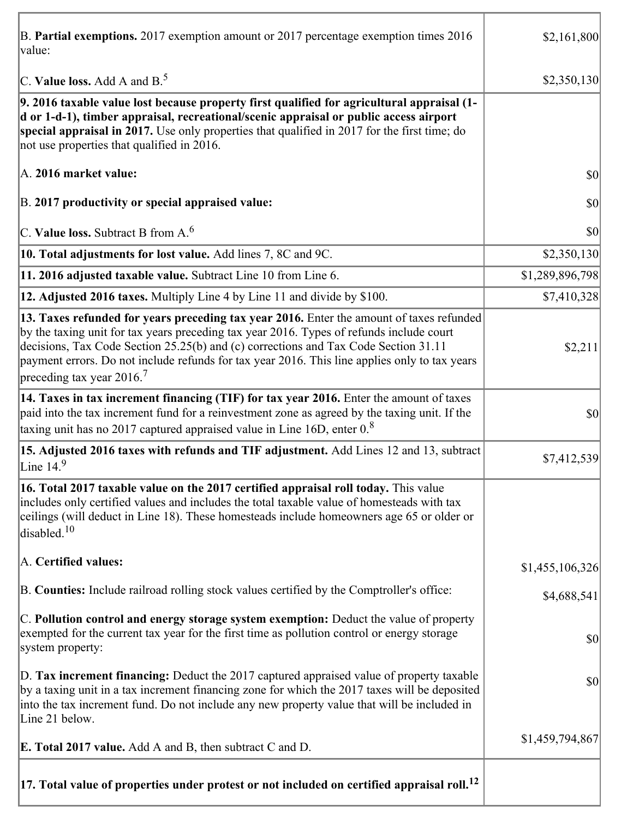| B. Partial exemptions. 2017 exemption amount or 2017 percentage exemption times 2016<br>value:                                                                                                                                                                                                                                                                                                                         | \$2,161,800     |
|------------------------------------------------------------------------------------------------------------------------------------------------------------------------------------------------------------------------------------------------------------------------------------------------------------------------------------------------------------------------------------------------------------------------|-----------------|
| C. Value loss. Add A and $B^5$                                                                                                                                                                                                                                                                                                                                                                                         | \$2,350,130     |
| 9. 2016 taxable value lost because property first qualified for agricultural appraisal (1-<br>d or 1-d-1), timber appraisal, recreational/scenic appraisal or public access airport<br>special appraisal in 2017. Use only properties that qualified in 2017 for the first time; do<br>not use properties that qualified in 2016.                                                                                      |                 |
| A. 2016 market value:                                                                                                                                                                                                                                                                                                                                                                                                  | \$0             |
| B. 2017 productivity or special appraised value:                                                                                                                                                                                                                                                                                                                                                                       | \$0             |
| C. Value loss. Subtract B from $A6$                                                                                                                                                                                                                                                                                                                                                                                    | \$0             |
| 10. Total adjustments for lost value. Add lines 7, 8C and 9C.                                                                                                                                                                                                                                                                                                                                                          | \$2,350,130     |
| 11. 2016 adjusted taxable value. Subtract Line 10 from Line 6.                                                                                                                                                                                                                                                                                                                                                         | \$1,289,896,798 |
| 12. Adjusted 2016 taxes. Multiply Line 4 by Line 11 and divide by \$100.                                                                                                                                                                                                                                                                                                                                               | \$7,410,328     |
| 13. Taxes refunded for years preceding tax year 2016. Enter the amount of taxes refunded<br>by the taxing unit for tax years preceding tax year 2016. Types of refunds include court<br>decisions, Tax Code Section 25.25(b) and (c) corrections and Tax Code Section 31.11<br>payment errors. Do not include refunds for tax year 2016. This line applies only to tax years<br>preceding tax year $2016$ <sup>7</sup> | \$2,211         |
| 14. Taxes in tax increment financing (TIF) for tax year 2016. Enter the amount of taxes<br>paid into the tax increment fund for a reinvestment zone as agreed by the taxing unit. If the<br>taxing unit has no 2017 captured appraised value in Line 16D, enter $0.8$                                                                                                                                                  | \$0             |
| 15. Adjusted 2016 taxes with refunds and TIF adjustment. Add Lines 12 and 13, subtract<br>Line $149$                                                                                                                                                                                                                                                                                                                   | \$7,412,539     |
| 16. Total 2017 taxable value on the 2017 certified appraisal roll today. This value<br>includes only certified values and includes the total taxable value of homesteads with tax<br>ceilings (will deduct in Line 18). These homesteads include homeowners age 65 or older or<br>disabled. <sup>10</sup>                                                                                                              |                 |
| A. Certified values:                                                                                                                                                                                                                                                                                                                                                                                                   | \$1,455,106,326 |
| B. Counties: Include railroad rolling stock values certified by the Comptroller's office:                                                                                                                                                                                                                                                                                                                              | \$4,688,541     |
| C. Pollution control and energy storage system exemption: Deduct the value of property<br>exempted for the current tax year for the first time as pollution control or energy storage<br>system property:                                                                                                                                                                                                              | \$0             |
| D. Tax increment financing: Deduct the 2017 captured appraised value of property taxable<br>by a taxing unit in a tax increment financing zone for which the 2017 taxes will be deposited<br>into the tax increment fund. Do not include any new property value that will be included in<br>Line 21 below.                                                                                                             | \$0             |
| <b>E. Total 2017 value.</b> Add A and B, then subtract C and D.                                                                                                                                                                                                                                                                                                                                                        | \$1,459,794,867 |
| $ 17.$ Total value of properties under protest or not included on certified appraisal roll. $^{12}$                                                                                                                                                                                                                                                                                                                    |                 |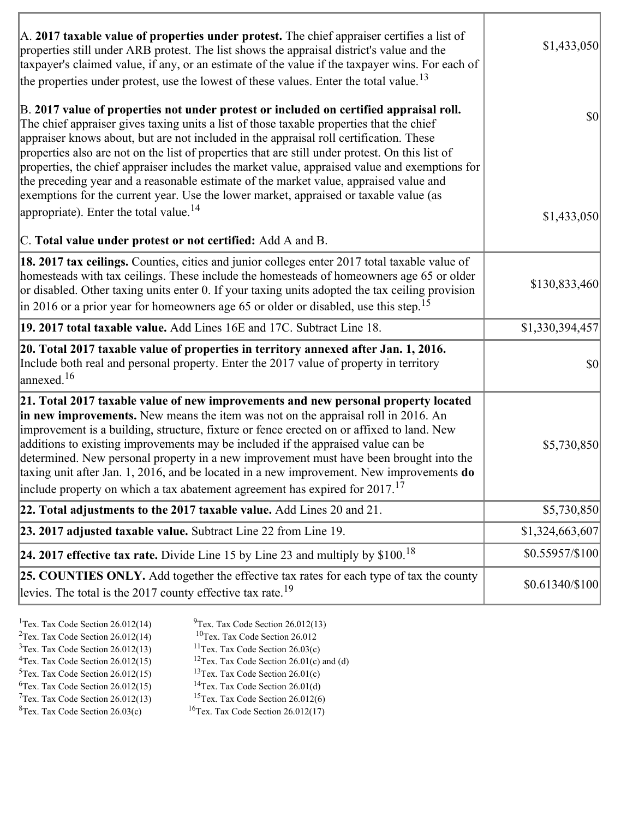| A. 2017 taxable value of properties under protest. The chief appraiser certifies a list of<br>properties still under ARB protest. The list shows the appraisal district's value and the<br>taxpayer's claimed value, if any, or an estimate of the value if the taxpayer wins. For each of<br>the properties under protest, use the lowest of these values. Enter the total value. <sup>13</sup>                                                                                                                                                                                                                                                                                                                         | \$1,433,050     |
|--------------------------------------------------------------------------------------------------------------------------------------------------------------------------------------------------------------------------------------------------------------------------------------------------------------------------------------------------------------------------------------------------------------------------------------------------------------------------------------------------------------------------------------------------------------------------------------------------------------------------------------------------------------------------------------------------------------------------|-----------------|
| B. 2017 value of properties not under protest or included on certified appraisal roll.<br>The chief appraiser gives taxing units a list of those taxable properties that the chief<br>appraiser knows about, but are not included in the appraisal roll certification. These<br>properties also are not on the list of properties that are still under protest. On this list of<br>properties, the chief appraiser includes the market value, appraised value and exemptions for<br>the preceding year and a reasonable estimate of the market value, appraised value and<br>exemptions for the current year. Use the lower market, appraised or taxable value (as<br>appropriate). Enter the total value. <sup>14</sup> | \$0             |
| C. Total value under protest or not certified: Add A and B.                                                                                                                                                                                                                                                                                                                                                                                                                                                                                                                                                                                                                                                              | \$1,433,050     |
| <b>18. 2017 tax ceilings.</b> Counties, cities and junior colleges enter 2017 total taxable value of<br>homesteads with tax ceilings. These include the homesteads of homeowners age 65 or older<br>or disabled. Other taxing units enter 0. If your taxing units adopted the tax ceiling provision<br>$\vert$ in 2016 or a prior year for homeowners age 65 or older or disabled, use this step. <sup>15</sup>                                                                                                                                                                                                                                                                                                          | \$130,833,460   |
| 19. 2017 total taxable value. Add Lines 16E and 17C. Subtract Line 18.                                                                                                                                                                                                                                                                                                                                                                                                                                                                                                                                                                                                                                                   | \$1,330,394,457 |
| 20. Total 2017 taxable value of properties in territory annexed after Jan. 1, 2016.<br>Include both real and personal property. Enter the 2017 value of property in territory<br>$\alpha$ annexed. <sup>16</sup>                                                                                                                                                                                                                                                                                                                                                                                                                                                                                                         | \$0             |
| 21. Total 2017 taxable value of new improvements and new personal property located<br>in new improvements. New means the item was not on the appraisal roll in 2016. An<br>improvement is a building, structure, fixture or fence erected on or affixed to land. New<br>additions to existing improvements may be included if the appraised value can be<br>determined. New personal property in a new improvement must have been brought into the<br>taxing unit after Jan. 1, 2016, and be located in a new improvement. New improvements do<br>include property on which a tax abatement agreement has expired for $2017$ . <sup>17</sup>                                                                             | \$5,730,850     |
| 22. Total adjustments to the 2017 taxable value. Add Lines 20 and 21.                                                                                                                                                                                                                                                                                                                                                                                                                                                                                                                                                                                                                                                    | \$5,730,850     |
| 23. 2017 adjusted taxable value. Subtract Line 22 from Line 19.                                                                                                                                                                                                                                                                                                                                                                                                                                                                                                                                                                                                                                                          | \$1,324,663,607 |
| 24. 2017 effective tax rate. Divide Line 15 by Line 23 and multiply by $$100$ . <sup>18</sup>                                                                                                                                                                                                                                                                                                                                                                                                                                                                                                                                                                                                                            | \$0.55957/\$100 |
| <b>25. COUNTIES ONLY.</b> Add together the effective tax rates for each type of tax the county<br>levies. The total is the 2017 county effective tax rate. <sup>19</sup>                                                                                                                                                                                                                                                                                                                                                                                                                                                                                                                                                 | \$0.61340/\$100 |

Ī.

٦

| <sup>1</sup> Tex. Tax Code Section $26.012(14)$ | $9$ Tex. Tax Code Section 26.012(13)                 |
|-------------------------------------------------|------------------------------------------------------|
| <sup>2</sup> Tex. Tax Code Section $26.012(14)$ | ${}^{10}$ Tex. Tax Code Section 26.012               |
| $3$ Tex. Tax Code Section 26.012(13)            | <sup>11</sup> Tex. Tax Code Section $26.03(c)$       |
| ${}^{4}$ Tex. Tax Code Section 26.012(15)       | <sup>12</sup> Tex. Tax Code Section 26.01(c) and (d) |
| $5$ Tex. Tax Code Section 26.012(15)            | <sup>13</sup> Tex. Tax Code Section $26.01(c)$       |
| ${}^{6}$ Tex. Tax Code Section 26.012(15)       | <sup>14</sup> Tex. Tax Code Section $26.01(d)$       |
| $7$ Tex. Tax Code Section 26.012(13)            | <sup>15</sup> Tex. Tax Code Section $26.012(6)$      |
|                                                 |                                                      |

 ${}^{8}$ Tex. Tax Code Section 26.03(c)  ${}^{16}$ Tex. Tax Code Section 26.012(17)

Г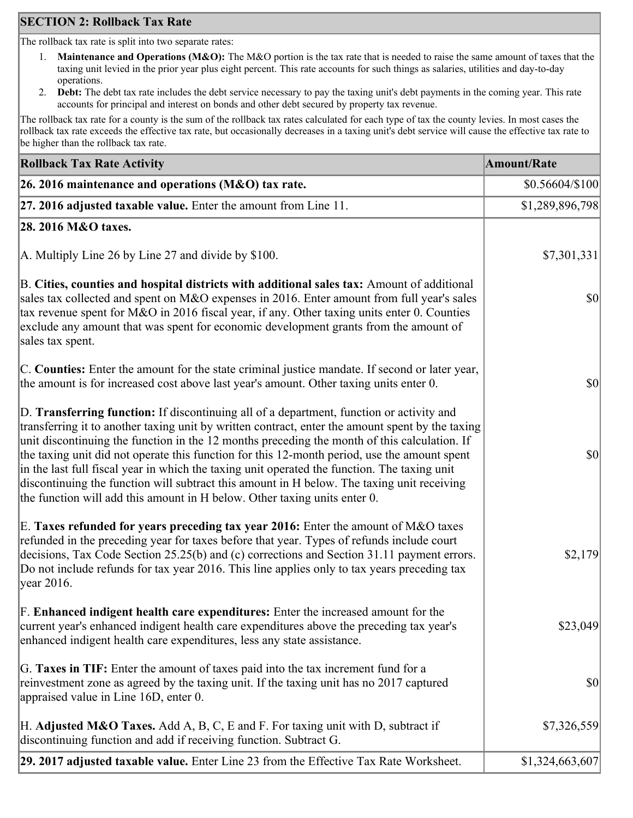## **SECTION 2: Rollback Tax Rate**

The rollback tax rate is split into two separate rates:

- 1. **Maintenance and Operations (M&O):** The M&O portion is the tax rate that is needed to raise the same amount of taxes that the taxing unit levied in the prior year plus eight percent. This rate accounts for such things as salaries, utilities and day-to-day operations.
- 2. **Debt:** The debt tax rate includes the debt service necessary to pay the taxing unit's debt payments in the coming year. This rate accounts for principal and interest on bonds and other debt secured by property tax revenue.

The rollback tax rate for a county is the sum of the rollback tax rates calculated for each type of tax the county levies. In most cases the rollback tax rate exceeds the effective tax rate, but occasionally decreases in a taxing unit's debt service will cause the effective tax rate to be higher than the rollback tax rate.

| <b>Rollback Tax Rate Activity</b>                                                                                                                                                                                                                                                                                                                                                                                                                                                                                                                                                                                                                                       | <b>Amount/Rate</b> |
|-------------------------------------------------------------------------------------------------------------------------------------------------------------------------------------------------------------------------------------------------------------------------------------------------------------------------------------------------------------------------------------------------------------------------------------------------------------------------------------------------------------------------------------------------------------------------------------------------------------------------------------------------------------------------|--------------------|
| 26. 2016 maintenance and operations (M&O) tax rate.                                                                                                                                                                                                                                                                                                                                                                                                                                                                                                                                                                                                                     | $$0.56604/\$100$   |
| 27. 2016 adjusted taxable value. Enter the amount from Line 11.                                                                                                                                                                                                                                                                                                                                                                                                                                                                                                                                                                                                         | \$1,289,896,798    |
| 28. 2016 M&O taxes.                                                                                                                                                                                                                                                                                                                                                                                                                                                                                                                                                                                                                                                     |                    |
| A. Multiply Line 26 by Line 27 and divide by $$100$ .                                                                                                                                                                                                                                                                                                                                                                                                                                                                                                                                                                                                                   | \$7,301,331        |
| B. Cities, counties and hospital districts with additional sales tax: Amount of additional<br>sales tax collected and spent on M&O expenses in 2016. Enter amount from full year's sales<br>tax revenue spent for M&O in 2016 fiscal year, if any. Other taxing units enter 0. Counties<br>exclude any amount that was spent for economic development grants from the amount of<br>sales tax spent.                                                                                                                                                                                                                                                                     | $ 10\rangle$       |
| C. Counties: Enter the amount for the state criminal justice mandate. If second or later year,<br>the amount is for increased cost above last year's amount. Other taxing units enter 0.                                                                                                                                                                                                                                                                                                                                                                                                                                                                                | $ 10\rangle$       |
| D. Transferring function: If discontinuing all of a department, function or activity and<br>transferring it to another taxing unit by written contract, enter the amount spent by the taxing<br>unit discontinuing the function in the 12 months preceding the month of this calculation. If<br>the taxing unit did not operate this function for this 12-month period, use the amount spent<br>in the last full fiscal year in which the taxing unit operated the function. The taxing unit<br>discontinuing the function will subtract this amount in H below. The taxing unit receiving<br>the function will add this amount in H below. Other taxing units enter 0. | $ 10\rangle$       |
| E. Taxes refunded for years preceding tax year 2016: Enter the amount of M&O taxes<br>refunded in the preceding year for taxes before that year. Types of refunds include court<br>decisions, Tax Code Section 25.25(b) and (c) corrections and Section 31.11 payment errors.<br>Do not include refunds for tax year 2016. This line applies only to tax years preceding tax<br> year 2016.                                                                                                                                                                                                                                                                             | \$2,179            |
| F. Enhanced indigent health care expenditures: Enter the increased amount for the<br>current year's enhanced indigent health care expenditures above the preceding tax year's<br>enhanced indigent health care expenditures, less any state assistance.                                                                                                                                                                                                                                                                                                                                                                                                                 | \$23,049           |
| G. Taxes in TIF: Enter the amount of taxes paid into the tax increment fund for a<br>reinvestment zone as agreed by the taxing unit. If the taxing unit has no 2017 captured<br>appraised value in Line 16D, enter 0.                                                                                                                                                                                                                                                                                                                                                                                                                                                   | $ 10\rangle$       |
| H. Adjusted M&O Taxes. Add A, B, C, E and F. For taxing unit with D, subtract if<br>discontinuing function and add if receiving function. Subtract G.                                                                                                                                                                                                                                                                                                                                                                                                                                                                                                                   | \$7,326,559        |
| 29. 2017 adjusted taxable value. Enter Line 23 from the Effective Tax Rate Worksheet.                                                                                                                                                                                                                                                                                                                                                                                                                                                                                                                                                                                   | \$1,324,663,607    |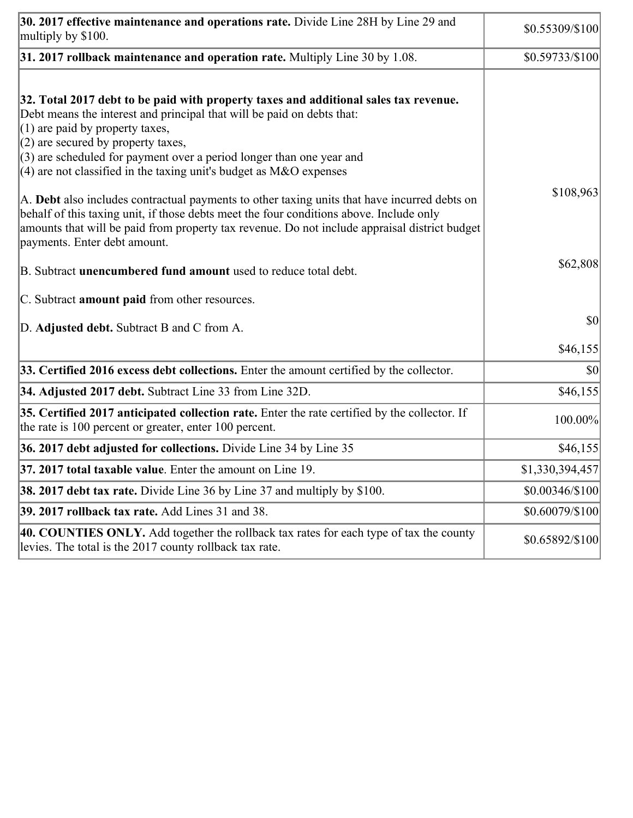| 30. 2017 effective maintenance and operations rate. Divide Line 28H by Line 29 and<br>multiply by \$100.                                                                                                                                                                                                                                                                                      | \$0.55309/\$100 |
|-----------------------------------------------------------------------------------------------------------------------------------------------------------------------------------------------------------------------------------------------------------------------------------------------------------------------------------------------------------------------------------------------|-----------------|
| $31.2017$ rollback maintenance and operation rate. Multiply Line 30 by 1.08.                                                                                                                                                                                                                                                                                                                  | \$0.59733/\$100 |
| 32. Total 2017 debt to be paid with property taxes and additional sales tax revenue.<br>Debt means the interest and principal that will be paid on debts that:<br>$(1)$ are paid by property taxes,<br>$(2)$ are secured by property taxes,<br>$(3)$ are scheduled for payment over a period longer than one year and<br>$(4)$ are not classified in the taxing unit's budget as M&O expenses |                 |
| A. Debt also includes contractual payments to other taxing units that have incurred debts on<br>behalf of this taxing unit, if those debts meet the four conditions above. Include only<br>amounts that will be paid from property tax revenue. Do not include appraisal district budget<br>payments. Enter debt amount.                                                                      | \$108,963       |
| B. Subtract unencumbered fund amount used to reduce total debt.                                                                                                                                                                                                                                                                                                                               | \$62,808        |
| C. Subtract amount paid from other resources.                                                                                                                                                                                                                                                                                                                                                 |                 |
| D. Adjusted debt. Subtract B and C from A.                                                                                                                                                                                                                                                                                                                                                    | \$0             |
|                                                                                                                                                                                                                                                                                                                                                                                               | \$46,155        |
| 33. Certified 2016 excess debt collections. Enter the amount certified by the collector.                                                                                                                                                                                                                                                                                                      | \$0             |
| 34. Adjusted 2017 debt. Subtract Line 33 from Line 32D.                                                                                                                                                                                                                                                                                                                                       | \$46,155        |
| 35. Certified 2017 anticipated collection rate. Enter the rate certified by the collector. If<br>the rate is 100 percent or greater, enter 100 percent.                                                                                                                                                                                                                                       | 100.00%         |
| 36. 2017 debt adjusted for collections. Divide Line 34 by Line 35                                                                                                                                                                                                                                                                                                                             | \$46,155        |
| 37. 2017 total taxable value. Enter the amount on Line 19.                                                                                                                                                                                                                                                                                                                                    | \$1,330,394,457 |
| <b>38. 2017 debt tax rate.</b> Divide Line 36 by Line 37 and multiply by \$100.                                                                                                                                                                                                                                                                                                               | \$0.00346/\$100 |
| 39. 2017 rollback tax rate. Add Lines 31 and 38.                                                                                                                                                                                                                                                                                                                                              | \$0.60079/\$100 |
| 40. COUNTIES ONLY. Add together the rollback tax rates for each type of tax the county<br>levies. The total is the 2017 county rollback tax rate.                                                                                                                                                                                                                                             | \$0.65892/\$100 |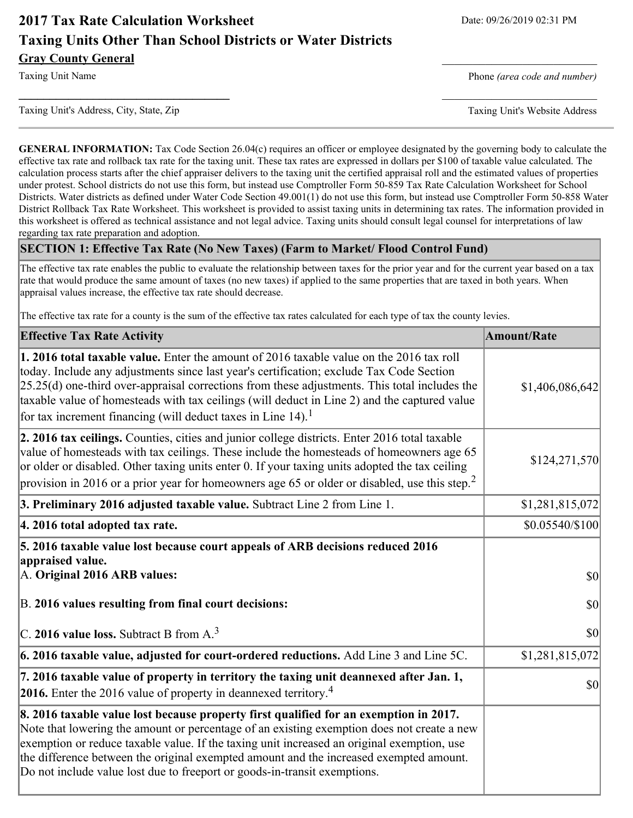# **2017 Tax Rate Calculation Worksheet** Date: 09/26/2019 02:31 PM **Taxing Units Other Than School Districts or Water Districts Gray County General**

Taxing Unit Name **Phone** *(area code and number)* Phone *(area code and number)* 

Taxing Unit's Address, City, State, Zip Taxing Unit's Website Address

**GENERAL INFORMATION:** Tax Code Section 26.04(c) requires an officer or employee designated by the governing body to calculate the effective tax rate and rollback tax rate for the taxing unit. These tax rates are expressed in dollars per \$100 of taxable value calculated. The calculation process starts after the chief appraiser delivers to the taxing unit the certified appraisal roll and the estimated values of properties under protest. School districts do not use this form, but instead use Comptroller Form 50-859 Tax Rate Calculation Worksheet for School Districts. Water districts as defined under Water Code Section 49.001(1) do not use this form, but instead use Comptroller Form 50-858 Water District Rollback Tax Rate Worksheet. This worksheet is provided to assist taxing units in determining tax rates. The information provided in this worksheet is offered as technical assistance and not legal advice. Taxing units should consult legal counsel for interpretations of law regarding tax rate preparation and adoption.

**\_\_\_\_\_\_\_\_\_\_\_\_\_\_\_\_\_\_\_\_\_\_\_\_\_\_\_\_\_\_\_\_\_\_** \_\_\_\_\_\_\_\_\_\_\_\_\_\_\_\_\_\_\_\_\_\_\_\_\_

#### **SECTION 1: Effective Tax Rate (No New Taxes) (Farm to Market/ Flood Control Fund)**

The effective tax rate enables the public to evaluate the relationship between taxes for the prior year and for the current year based on a tax rate that would produce the same amount of taxes (no new taxes) if applied to the same properties that are taxed in both years. When appraisal values increase, the effective tax rate should decrease.

The effective tax rate for a county is the sum of the effective tax rates calculated for each type of tax the county levies.

| <b>Effective Tax Rate Activity</b>                                                                                                                                                                                                                                                                                                                                                                                                                                   | <b>Amount/Rate</b> |
|----------------------------------------------------------------------------------------------------------------------------------------------------------------------------------------------------------------------------------------------------------------------------------------------------------------------------------------------------------------------------------------------------------------------------------------------------------------------|--------------------|
| 1. 2016 total taxable value. Enter the amount of 2016 taxable value on the 2016 tax roll<br>today. Include any adjustments since last year's certification; exclude Tax Code Section<br>$[25.25(d)$ one-third over-appraisal corrections from these adjustments. This total includes the<br>taxable value of homesteads with tax ceilings (will deduct in Line 2) and the captured value<br>for tax increment financing (will deduct taxes in Line 14). <sup>1</sup> | \$1,406,086,642    |
| 2. 2016 tax ceilings. Counties, cities and junior college districts. Enter 2016 total taxable<br>value of homesteads with tax ceilings. These include the homesteads of homeowners age 65<br>or older or disabled. Other taxing units enter 0. If your taxing units adopted the tax ceiling<br>provision in 2016 or a prior year for homeowners age 65 or older or disabled, use this step. <sup>2</sup>                                                             | \$124,271,570      |
| 3. Preliminary 2016 adjusted taxable value. Subtract Line 2 from Line 1.                                                                                                                                                                                                                                                                                                                                                                                             | \$1,281,815,072    |
| 4. 2016 total adopted tax rate.                                                                                                                                                                                                                                                                                                                                                                                                                                      | \$0.05540/\$100    |
| 5. 2016 taxable value lost because court appeals of ARB decisions reduced 2016<br>appraised value.<br>A. Original 2016 ARB values:                                                                                                                                                                                                                                                                                                                                   | 30                 |
| B. 2016 values resulting from final court decisions:                                                                                                                                                                                                                                                                                                                                                                                                                 | $ 10\rangle$       |
| $\vert$ C. 2016 value loss. Subtract B from A. <sup>3</sup>                                                                                                                                                                                                                                                                                                                                                                                                          | \$0                |
| $\vert$ 6. 2016 taxable value, adjusted for court-ordered reductions. Add Line 3 and Line 5C.                                                                                                                                                                                                                                                                                                                                                                        | \$1,281,815,072    |
| 7. 2016 taxable value of property in territory the taxing unit deannexed after Jan. 1,<br>2016. Enter the 2016 value of property in deannexed territory. <sup>4</sup>                                                                                                                                                                                                                                                                                                | \$0                |
| 8. 2016 taxable value lost because property first qualified for an exemption in 2017.<br>Note that lowering the amount or percentage of an existing exemption does not create a new<br>exemption or reduce taxable value. If the taxing unit increased an original exemption, use<br>the difference between the original exempted amount and the increased exempted amount.<br>Do not include value lost due to freeport or goods-in-transit exemptions.             |                    |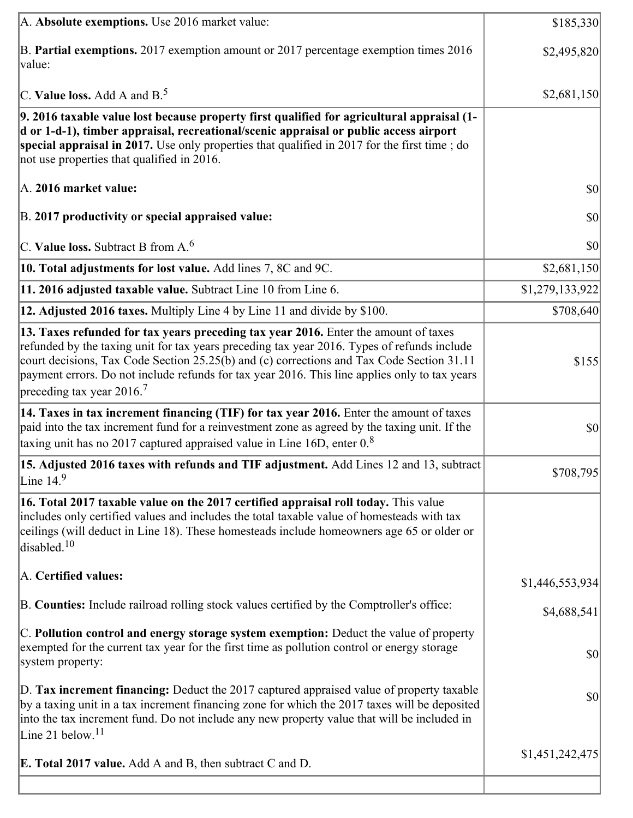| A. Absolute exemptions. Use 2016 market value:                                                                                                                                                                                                                                                                                                                                                                             | \$185,330       |
|----------------------------------------------------------------------------------------------------------------------------------------------------------------------------------------------------------------------------------------------------------------------------------------------------------------------------------------------------------------------------------------------------------------------------|-----------------|
| B. Partial exemptions. 2017 exemption amount or 2017 percentage exemption times 2016<br>$\vert$ value:                                                                                                                                                                                                                                                                                                                     | \$2,495,820     |
| C. Value loss. Add A and $B^5$ .                                                                                                                                                                                                                                                                                                                                                                                           | \$2,681,150     |
| 9. 2016 taxable value lost because property first qualified for agricultural appraisal (1-<br>d or 1-d-1), timber appraisal, recreational/scenic appraisal or public access airport<br>special appraisal in 2017. Use only properties that qualified in 2017 for the first time; do<br>not use properties that qualified in 2016.                                                                                          |                 |
| A. 2016 market value:                                                                                                                                                                                                                                                                                                                                                                                                      | \$0             |
| B. 2017 productivity or special appraised value:                                                                                                                                                                                                                                                                                                                                                                           | \$0             |
| $ C$ . Value loss. Subtract B from A. <sup>6</sup>                                                                                                                                                                                                                                                                                                                                                                         | \$0             |
| 10. Total adjustments for lost value. Add lines 7, 8C and 9C.                                                                                                                                                                                                                                                                                                                                                              | \$2,681,150     |
| 11. 2016 adjusted taxable value. Subtract Line 10 from Line 6.                                                                                                                                                                                                                                                                                                                                                             | \$1,279,133,922 |
| <b>12. Adjusted 2016 taxes.</b> Multiply Line 4 by Line 11 and divide by \$100.                                                                                                                                                                                                                                                                                                                                            | \$708,640       |
| 13. Taxes refunded for tax years preceding tax year 2016. Enter the amount of taxes<br>refunded by the taxing unit for tax years preceding tax year 2016. Types of refunds include<br>court decisions, Tax Code Section 25.25(b) and (c) corrections and Tax Code Section 31.11<br>payment errors. Do not include refunds for tax year 2016. This line applies only to tax years<br>preceding tax year $2016$ <sup>7</sup> | \$155           |
| [14. Taxes in tax increment financing (TIF) for tax year 2016. Enter the amount of taxes<br>paid into the tax increment fund for a reinvestment zone as agreed by the taxing unit. If the<br>taxing unit has no 2017 captured appraised value in Line 16D, enter $08$                                                                                                                                                      | \$0             |
| 15. Adjusted 2016 taxes with refunds and TIF adjustment. Add Lines 12 and 13, subtract<br>Line $14.9$                                                                                                                                                                                                                                                                                                                      | \$708,795       |
| [16. Total 2017 taxable value on the 2017 certified appraisal roll today. This value<br>includes only certified values and includes the total taxable value of homesteads with tax<br>ceilings (will deduct in Line 18). These homesteads include homeowners age 65 or older or<br>disabled. <sup>10</sup>                                                                                                                 |                 |
| A. Certified values:                                                                                                                                                                                                                                                                                                                                                                                                       | \$1,446,553,934 |
| B. Counties: Include railroad rolling stock values certified by the Comptroller's office:                                                                                                                                                                                                                                                                                                                                  | \$4,688,541     |
| C. Pollution control and energy storage system exemption: Deduct the value of property<br>exempted for the current tax year for the first time as pollution control or energy storage<br>system property:                                                                                                                                                                                                                  | \$0             |
| D. Tax increment financing: Deduct the 2017 captured appraised value of property taxable<br>by a taxing unit in a tax increment financing zone for which the 2017 taxes will be deposited<br>into the tax increment fund. Do not include any new property value that will be included in<br>Line 21 below. $11$                                                                                                            | \$0             |
| <b>E. Total 2017 value.</b> Add A and B, then subtract C and D.                                                                                                                                                                                                                                                                                                                                                            | \$1,451,242,475 |
|                                                                                                                                                                                                                                                                                                                                                                                                                            |                 |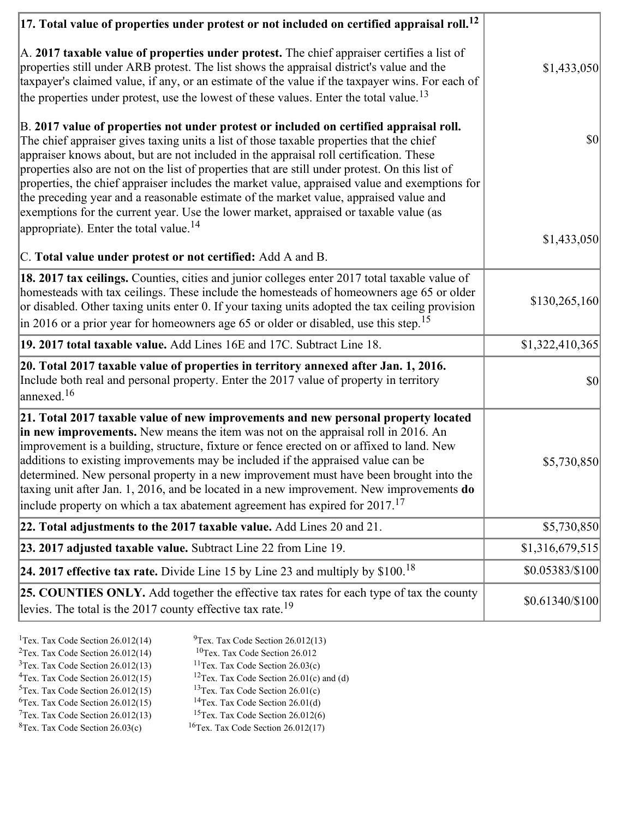| $ 17$ . Total value of properties under protest or not included on certified appraisal roll. <sup>12</sup>                                                                                                                                                                                                                                                                                                                                                                                                                                                                                                                                                         |                  |
|--------------------------------------------------------------------------------------------------------------------------------------------------------------------------------------------------------------------------------------------------------------------------------------------------------------------------------------------------------------------------------------------------------------------------------------------------------------------------------------------------------------------------------------------------------------------------------------------------------------------------------------------------------------------|------------------|
| A. 2017 taxable value of properties under protest. The chief appraiser certifies a list of<br>properties still under ARB protest. The list shows the appraisal district's value and the<br>taxpayer's claimed value, if any, or an estimate of the value if the taxpayer wins. For each of<br>the properties under protest, use the lowest of these values. Enter the total value. <sup>13</sup>                                                                                                                                                                                                                                                                   | \$1,433,050      |
|                                                                                                                                                                                                                                                                                                                                                                                                                                                                                                                                                                                                                                                                    |                  |
| B. 2017 value of properties not under protest or included on certified appraisal roll.<br>The chief appraiser gives taxing units a list of those taxable properties that the chief<br>appraiser knows about, but are not included in the appraisal roll certification. These<br>properties also are not on the list of properties that are still under protest. On this list of<br>properties, the chief appraiser includes the market value, appraised value and exemptions for<br>the preceding year and a reasonable estimate of the market value, appraised value and<br>exemptions for the current year. Use the lower market, appraised or taxable value (as | $ 10\rangle$     |
| appropriate). Enter the total value. <sup>14</sup>                                                                                                                                                                                                                                                                                                                                                                                                                                                                                                                                                                                                                 | \$1,433,050      |
| C. Total value under protest or not certified: Add A and B.                                                                                                                                                                                                                                                                                                                                                                                                                                                                                                                                                                                                        |                  |
| 18. 2017 tax ceilings. Counties, cities and junior colleges enter 2017 total taxable value of<br>homesteads with tax ceilings. These include the homesteads of homeowners age 65 or older<br>or disabled. Other taxing units enter 0. If your taxing units adopted the tax ceiling provision<br>$\vert$ in 2016 or a prior year for homeowners age 65 or older or disabled, use this step. <sup>15</sup>                                                                                                                                                                                                                                                           | \$130,265,160    |
| 19. 2017 total taxable value. Add Lines 16E and 17C. Subtract Line 18.                                                                                                                                                                                                                                                                                                                                                                                                                                                                                                                                                                                             | \$1,322,410,365  |
| 20. Total 2017 taxable value of properties in territory annexed after Jan. 1, 2016.<br>Include both real and personal property. Enter the 2017 value of property in territory<br>$\text{anne}$ xed. <sup>16</sup>                                                                                                                                                                                                                                                                                                                                                                                                                                                  | $ 10\rangle$     |
| 21. Total 2017 taxable value of new improvements and new personal property located<br>in new improvements. New means the item was not on the appraisal roll in 2016. An<br>improvement is a building, structure, fixture or fence erected on or affixed to land. New<br>additions to existing improvements may be included if the appraised value can be<br>determined. New personal property in a new improvement must have been brought into the<br>taxing unit after Jan. 1, 2016, and be located in a new improvement. New improvements do<br>include property on which a tax abatement agreement has expired for $2017$ . <sup>17</sup>                       | \$5,730,850      |
| 22. Total adjustments to the 2017 taxable value. Add Lines 20 and 21.                                                                                                                                                                                                                                                                                                                                                                                                                                                                                                                                                                                              | \$5,730,850      |
| 23. 2017 adjusted taxable value. Subtract Line 22 from Line 19.                                                                                                                                                                                                                                                                                                                                                                                                                                                                                                                                                                                                    | \$1,316,679,515  |
| 24. 2017 effective tax rate. Divide Line 15 by Line 23 and multiply by $$100$ . <sup>18</sup>                                                                                                                                                                                                                                                                                                                                                                                                                                                                                                                                                                      | \$0.05383/\$100  |
| 25. COUNTIES ONLY. Add together the effective tax rates for each type of tax the county<br>levies. The total is the 2017 county effective tax rate. <sup>19</sup>                                                                                                                                                                                                                                                                                                                                                                                                                                                                                                  | $$0.61340/\$100$ |
|                                                                                                                                                                                                                                                                                                                                                                                                                                                                                                                                                                                                                                                                    |                  |

- <sup>1</sup>Tex. Tax Code Section 26.012(14) <sup>9</sup>Tex. Tax Code Section 26.012(13)
	-
- <sup>2</sup>Tex. Tax Code Section 26.012(14) <sup>10</sup>Tex. Tax Code Section 26.012<br><sup>3</sup>Tex. Tax Code Section 26.012(13) <sup>11</sup>Tex. Tax Code Section 26.03(c)
	-
- $3$ Tex. Tax Code Section 26.012(13)<br> $4$ Tex. Tax Code Section 26.012(15) <sup>12</sup>Tex. Tax Code Section 26.01(c) and (d) <sup>13</sup>Tex. Tax Code Section 26.01(c)
- $5$ Tex. Tax Code Section 26.012(15)
- <sup>6</sup>Tex. Tax Code Section 26.012(15) <sup>14</sup>Tex. Tax Code Section 26.01(d)<br><sup>7</sup>Tex. Tax Code Section 26.012(13) <sup>15</sup>Tex. Tax Code Section 26.012(6)
- $7$ Tex. Tax Code Section 26.012(13)<br><sup>8</sup>Tex. Tax Code Section 26.03(c)
- 
- 
- $16$ Tex. Tax Code Section 26.012(17)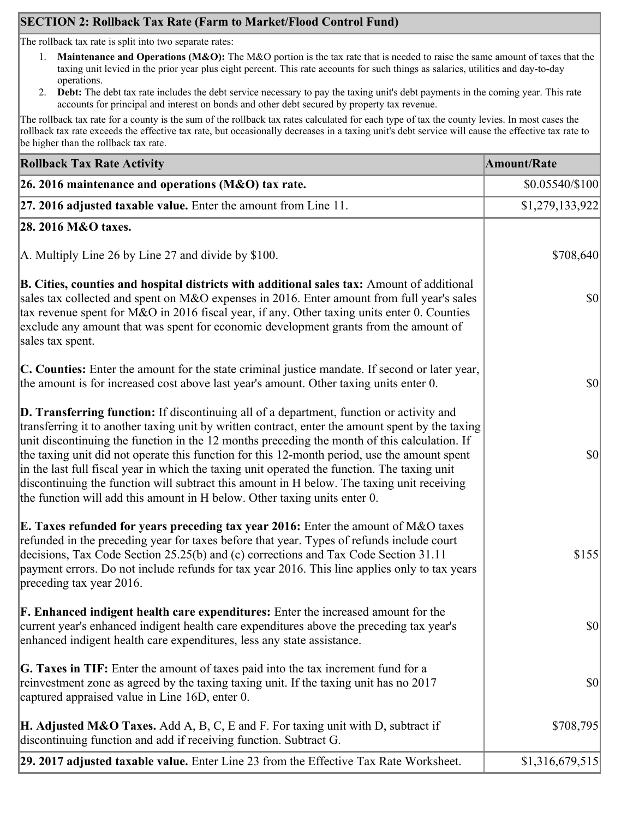## **SECTION 2: Rollback Tax Rate (Farm to Market/Flood Control Fund)**

The rollback tax rate is split into two separate rates:

- 1. **Maintenance and Operations (M&O):** The M&O portion is the tax rate that is needed to raise the same amount of taxes that the taxing unit levied in the prior year plus eight percent. This rate accounts for such things as salaries, utilities and day-to-day operations.
- 2. **Debt:** The debt tax rate includes the debt service necessary to pay the taxing unit's debt payments in the coming year. This rate accounts for principal and interest on bonds and other debt secured by property tax revenue.

The rollback tax rate for a county is the sum of the rollback tax rates calculated for each type of tax the county levies. In most cases the rollback tax rate exceeds the effective tax rate, but occasionally decreases in a taxing unit's debt service will cause the effective tax rate to be higher than the rollback tax rate.

| <b>Rollback Tax Rate Activity</b>                                                                                                                                                                                                                                                                                                                                                                                                                                                                                                                                                                                                                                       | <b>Amount/Rate</b> |
|-------------------------------------------------------------------------------------------------------------------------------------------------------------------------------------------------------------------------------------------------------------------------------------------------------------------------------------------------------------------------------------------------------------------------------------------------------------------------------------------------------------------------------------------------------------------------------------------------------------------------------------------------------------------------|--------------------|
| 26. 2016 maintenance and operations ( $M&O$ ) tax rate.                                                                                                                                                                                                                                                                                                                                                                                                                                                                                                                                                                                                                 | $$0.05540/\$100$   |
| 27. 2016 adjusted taxable value. Enter the amount from Line 11.                                                                                                                                                                                                                                                                                                                                                                                                                                                                                                                                                                                                         | \$1,279,133,922    |
| 28. 2016 M&O taxes.                                                                                                                                                                                                                                                                                                                                                                                                                                                                                                                                                                                                                                                     |                    |
| A. Multiply Line 26 by Line 27 and divide by \$100.                                                                                                                                                                                                                                                                                                                                                                                                                                                                                                                                                                                                                     | \$708,640          |
| B. Cities, counties and hospital districts with additional sales tax: Amount of additional<br>sales tax collected and spent on M&O expenses in 2016. Enter amount from full year's sales<br>tax revenue spent for M&O in 2016 fiscal year, if any. Other taxing units enter 0. Counties<br>exclude any amount that was spent for economic development grants from the amount of<br>sales tax spent.                                                                                                                                                                                                                                                                     | $ 10\rangle$       |
| C. Counties: Enter the amount for the state criminal justice mandate. If second or later year,<br>the amount is for increased cost above last year's amount. Other taxing units enter 0.                                                                                                                                                                                                                                                                                                                                                                                                                                                                                | $ 10\rangle$       |
| D. Transferring function: If discontinuing all of a department, function or activity and<br>transferring it to another taxing unit by written contract, enter the amount spent by the taxing<br>unit discontinuing the function in the 12 months preceding the month of this calculation. If<br>the taxing unit did not operate this function for this 12-month period, use the amount spent<br>in the last full fiscal year in which the taxing unit operated the function. The taxing unit<br>discontinuing the function will subtract this amount in H below. The taxing unit receiving<br>the function will add this amount in H below. Other taxing units enter 0. | $ 10\rangle$       |
| E. Taxes refunded for years preceding tax year 2016: Enter the amount of M&O taxes<br>refunded in the preceding year for taxes before that year. Types of refunds include court<br>decisions, Tax Code Section 25.25(b) and (c) corrections and Tax Code Section 31.11<br>payment errors. Do not include refunds for tax year 2016. This line applies only to tax years<br>preceding tax year 2016.                                                                                                                                                                                                                                                                     | \$155              |
| <b>F. Enhanced indigent health care expenditures:</b> Enter the increased amount for the<br>current year's enhanced indigent health care expenditures above the preceding tax year's<br>enhanced indigent health care expenditures, less any state assistance.                                                                                                                                                                                                                                                                                                                                                                                                          | $ 10\rangle$       |
| G. Taxes in TIF: Enter the amount of taxes paid into the tax increment fund for a<br>reinvestment zone as agreed by the taxing taxing unit. If the taxing unit has no 2017<br>captured appraised value in Line 16D, enter 0.                                                                                                                                                                                                                                                                                                                                                                                                                                            | $ 10\rangle$       |
| <b>H. Adjusted M&amp;O Taxes.</b> Add A, B, C, E and F. For taxing unit with D, subtract if<br>discontinuing function and add if receiving function. Subtract G.                                                                                                                                                                                                                                                                                                                                                                                                                                                                                                        | \$708,795          |
| 29. 2017 adjusted taxable value. Enter Line 23 from the Effective Tax Rate Worksheet.                                                                                                                                                                                                                                                                                                                                                                                                                                                                                                                                                                                   | \$1,316,679,515    |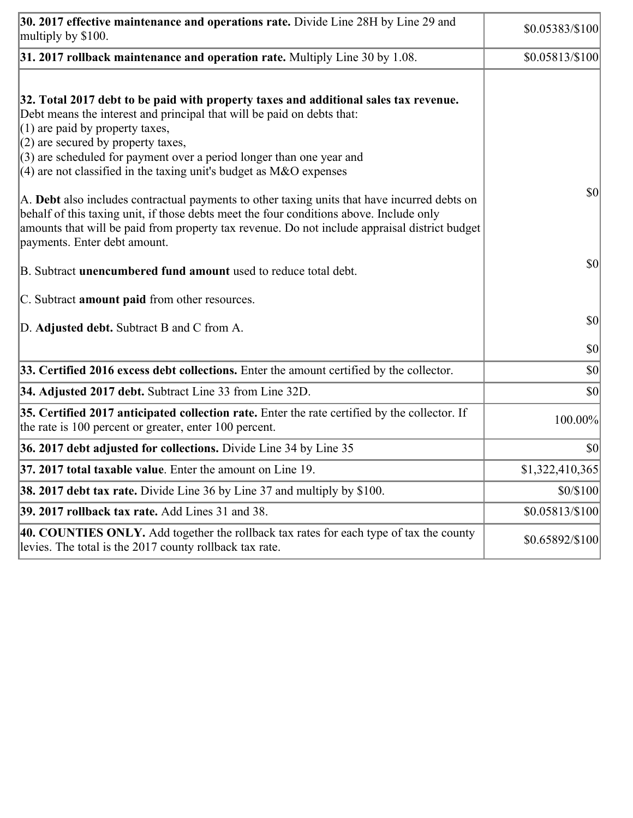| 30. 2017 effective maintenance and operations rate. Divide Line 28H by Line 29 and<br>multiply by \$100.                                                                                                                                                                                                                                                                                      | $$0.05383/\$100$ |
|-----------------------------------------------------------------------------------------------------------------------------------------------------------------------------------------------------------------------------------------------------------------------------------------------------------------------------------------------------------------------------------------------|------------------|
| $31.2017$ rollback maintenance and operation rate. Multiply Line 30 by 1.08.                                                                                                                                                                                                                                                                                                                  | \$0.05813/\$100  |
| 32. Total 2017 debt to be paid with property taxes and additional sales tax revenue.<br>Debt means the interest and principal that will be paid on debts that:<br>$(1)$ are paid by property taxes,<br>$(2)$ are secured by property taxes,<br>$(3)$ are scheduled for payment over a period longer than one year and<br>$(4)$ are not classified in the taxing unit's budget as M&O expenses |                  |
| A. Debt also includes contractual payments to other taxing units that have incurred debts on<br>behalf of this taxing unit, if those debts meet the four conditions above. Include only<br>amounts that will be paid from property tax revenue. Do not include appraisal district budget<br>payments. Enter debt amount.                                                                      | $ 10\rangle$     |
| B. Subtract <b>unencumbered fund amount</b> used to reduce total debt.                                                                                                                                                                                                                                                                                                                        | $ 10\rangle$     |
| C. Subtract <b>amount paid</b> from other resources.                                                                                                                                                                                                                                                                                                                                          |                  |
| D. Adjusted debt. Subtract B and C from A.                                                                                                                                                                                                                                                                                                                                                    | $ 10\rangle$     |
|                                                                                                                                                                                                                                                                                                                                                                                               | $ 10\rangle$     |
| 33. Certified 2016 excess debt collections. Enter the amount certified by the collector.                                                                                                                                                                                                                                                                                                      | $ 10\rangle$     |
| 34. Adjusted 2017 debt. Subtract Line 33 from Line 32D.                                                                                                                                                                                                                                                                                                                                       | \$0              |
| 35. Certified 2017 anticipated collection rate. Enter the rate certified by the collector. If<br>the rate is 100 percent or greater, enter 100 percent.                                                                                                                                                                                                                                       | 100.00%          |
| 36. 2017 debt adjusted for collections. Divide Line 34 by Line 35                                                                                                                                                                                                                                                                                                                             | $ 10\rangle$     |
| <b>37. 2017 total taxable value.</b> Enter the amount on Line 19.                                                                                                                                                                                                                                                                                                                             | \$1,322,410,365  |
| <b>38. 2017 debt tax rate.</b> Divide Line 36 by Line 37 and multiply by \$100.                                                                                                                                                                                                                                                                                                               | \$0/\$100        |
| 39. 2017 rollback tax rate. Add Lines 31 and 38.                                                                                                                                                                                                                                                                                                                                              | \$0.05813/\$100  |
| 40. COUNTIES ONLY. Add together the rollback tax rates for each type of tax the county<br>levies. The total is the 2017 county rollback tax rate.                                                                                                                                                                                                                                             | \$0.65892/\$100] |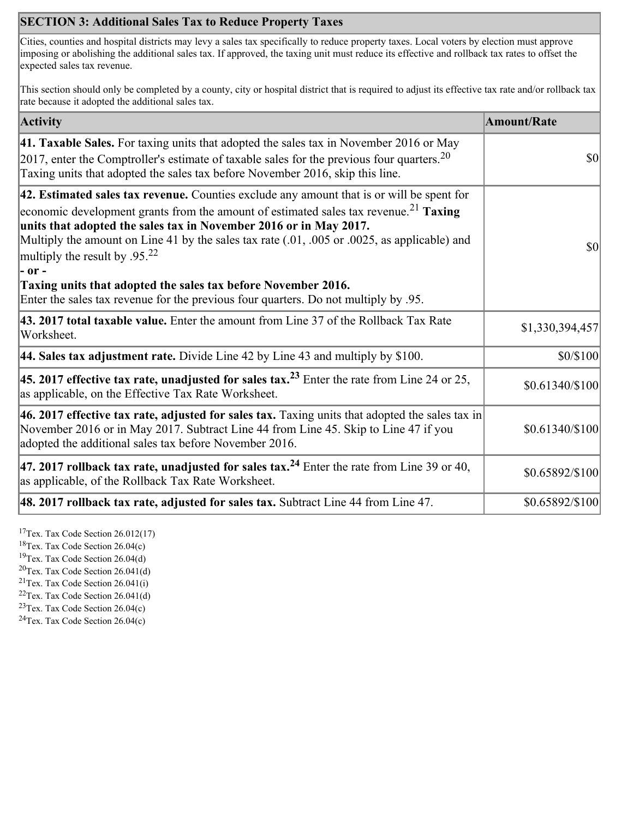## **SECTION 3: Additional Sales Tax to Reduce Property Taxes**

Cities, counties and hospital districts may levy a sales tax specifically to reduce property taxes. Local voters by election must approve imposing or abolishing the additional sales tax. If approved, the taxing unit must reduce its effective and rollback tax rates to offset the expected sales tax revenue.

This section should only be completed by a county, city or hospital district that is required to adjust its effective tax rate and/or rollback tax rate because it adopted the additional sales tax.

| <b>Activity</b>                                                                                                                                                                                                                                                                                                                                                                                                    | <b>Amount/Rate</b> |
|--------------------------------------------------------------------------------------------------------------------------------------------------------------------------------------------------------------------------------------------------------------------------------------------------------------------------------------------------------------------------------------------------------------------|--------------------|
| 41. Taxable Sales. For taxing units that adopted the sales tax in November 2016 or May<br>[2017, enter the Comptroller's estimate of taxable sales for the previous four quarters. <sup>20</sup><br>Taxing units that adopted the sales tax before November 2016, skip this line.                                                                                                                                  | \$0                |
| 42. Estimated sales tax revenue. Counties exclude any amount that is or will be spent for<br>economic development grants from the amount of estimated sales tax revenue. <sup>21</sup> Taxing<br>units that adopted the sales tax in November 2016 or in May 2017.<br>Multiply the amount on Line 41 by the sales tax rate (.01, .005 or .0025, as applicable) and<br>multiply the result by $.95^{22}$<br> - or - | \$0                |
| Taxing units that adopted the sales tax before November 2016.<br>Enter the sales tax revenue for the previous four quarters. Do not multiply by .95.                                                                                                                                                                                                                                                               |                    |
| 43. 2017 total taxable value. Enter the amount from Line 37 of the Rollback Tax Rate<br>Worksheet.                                                                                                                                                                                                                                                                                                                 | \$1,330,394,457    |
| <b>44. Sales tax adjustment rate.</b> Divide Line 42 by Line 43 and multiply by \$100.                                                                                                                                                                                                                                                                                                                             | \$0/\$100          |
| 45. 2017 effective tax rate, unadjusted for sales tax. <sup>23</sup> Enter the rate from Line 24 or 25,<br>as applicable, on the Effective Tax Rate Worksheet.                                                                                                                                                                                                                                                     | \$0.61340/\$100    |
| 46. 2017 effective tax rate, adjusted for sales tax. Taxing units that adopted the sales tax in<br>November 2016 or in May 2017. Subtract Line 44 from Line 45. Skip to Line 47 if you<br>adopted the additional sales tax before November 2016.                                                                                                                                                                   | \$0.61340/\$100    |
| 47. 2017 rollback tax rate, unadjusted for sales tax. <sup>24</sup> Enter the rate from Line 39 or 40,<br>as applicable, of the Rollback Tax Rate Worksheet.                                                                                                                                                                                                                                                       | \$0.65892/\$100    |
| $ 48.2017$ rollback tax rate, adjusted for sales tax. Subtract Line 44 from Line 47.                                                                                                                                                                                                                                                                                                                               | \$0.65892/\$100]   |

<sup>17</sup>Tex. Tax Code Section  $26.012(17)$ 

<sup>18</sup>Tex. Tax Code Section 26.04(c)

<sup>19</sup>Tex. Tax Code Section 26.04(d)  ${}^{20}$ Tex. Tax Code Section 26.041(d)

<sup>21</sup>Tex. Tax Code Section  $26.041(i)$ 

 $22$ Tex. Tax Code Section 26.041(d)

<sup>23</sup>Tex. Tax Code Section 26.04(c)

 $24$ Tex. Tax Code Section 26.04(c)